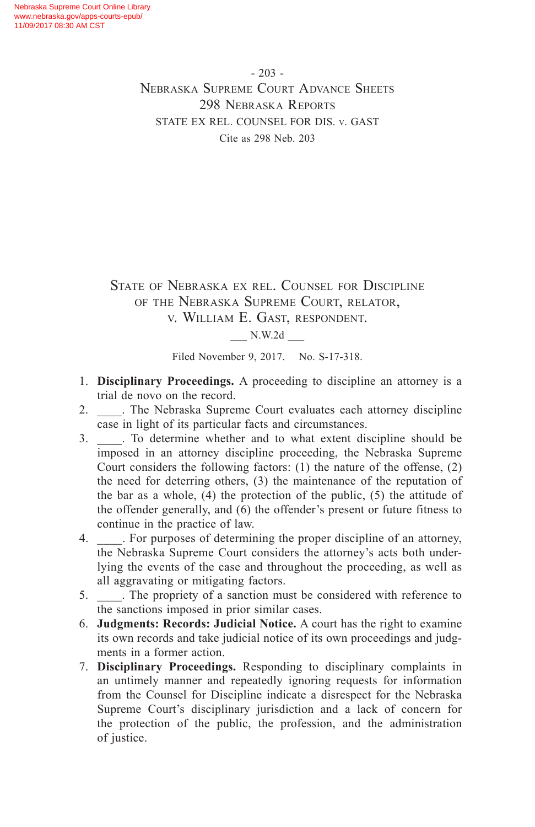- 203 - Nebraska Supreme Court Advance Sheets 298 Nebraska Reports STATE EX REL. COUNSEL FOR DIS. v. GAST Cite as 298 Neb. 203

State of Nebraska ex rel. Counsel for Discipline of the Nebraska Supreme Court, relator, v. William E. Gast, respondent.

\_\_\_ N.W.2d \_\_\_

Filed November 9, 2017. No. S-17-318.

- 1. **Disciplinary Proceedings.** A proceeding to discipline an attorney is a trial de novo on the record.
- 2. \_\_\_\_. The Nebraska Supreme Court evaluates each attorney discipline case in light of its particular facts and circumstances.
- 3. \_\_\_\_. To determine whether and to what extent discipline should be imposed in an attorney discipline proceeding, the Nebraska Supreme Court considers the following factors: (1) the nature of the offense, (2) the need for deterring others, (3) the maintenance of the reputation of the bar as a whole, (4) the protection of the public, (5) the attitude of the offender generally, and (6) the offender's present or future fitness to continue in the practice of law.
- 4. \_\_\_\_. For purposes of determining the proper discipline of an attorney, the Nebraska Supreme Court considers the attorney's acts both underlying the events of the case and throughout the proceeding, as well as all aggravating or mitigating factors.
- 5. \_\_\_\_. The propriety of a sanction must be considered with reference to the sanctions imposed in prior similar cases.
- 6. **Judgments: Records: Judicial Notice.** A court has the right to examine its own records and take judicial notice of its own proceedings and judgments in a former action.
- 7. **Disciplinary Proceedings.** Responding to disciplinary complaints in an untimely manner and repeatedly ignoring requests for information from the Counsel for Discipline indicate a disrespect for the Nebraska Supreme Court's disciplinary jurisdiction and a lack of concern for the protection of the public, the profession, and the administration of justice.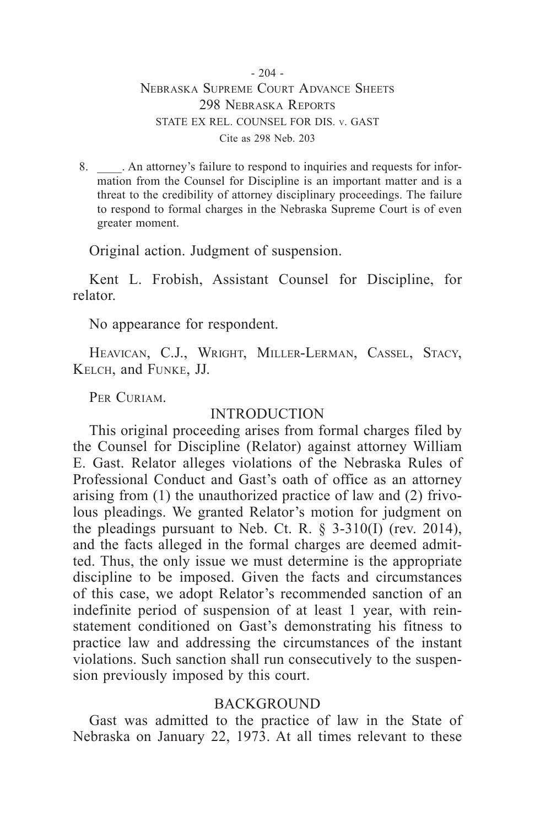#### $-204 -$ Nebraska Supreme Court Advance Sheets 298 Nebraska Reports STATE EX REL. COUNSEL FOR DIS. v. GAST Cite as 298 Neb. 203

8. An attorney's failure to respond to inquiries and requests for information from the Counsel for Discipline is an important matter and is a threat to the credibility of attorney disciplinary proceedings. The failure to respond to formal charges in the Nebraska Supreme Court is of even greater moment.

Original action. Judgment of suspension.

Kent L. Frobish, Assistant Counsel for Discipline, for relator.

No appearance for respondent.

HEAVICAN, C.J., WRIGHT, MILLER-LERMAN, CASSEL, STACY, Kelch, and Funke, JJ.

PER CURIAM.

# INTRODUCTION

This original proceeding arises from formal charges filed by the Counsel for Discipline (Relator) against attorney William E. Gast. Relator alleges violations of the Nebraska Rules of Professional Conduct and Gast's oath of office as an attorney arising from (1) the unauthorized practice of law and (2) frivolous pleadings. We granted Relator's motion for judgment on the pleadings pursuant to Neb. Ct. R. § 3-310(I) (rev. 2014), and the facts alleged in the formal charges are deemed admitted. Thus, the only issue we must determine is the appropriate discipline to be imposed. Given the facts and circumstances of this case, we adopt Relator's recommended sanction of an indefinite period of suspension of at least 1 year, with reinstatement conditioned on Gast's demonstrating his fitness to practice law and addressing the circumstances of the instant violations. Such sanction shall run consecutively to the suspension previously imposed by this court.

# **BACKGROUND**

Gast was admitted to the practice of law in the State of Nebraska on January 22, 1973. At all times relevant to these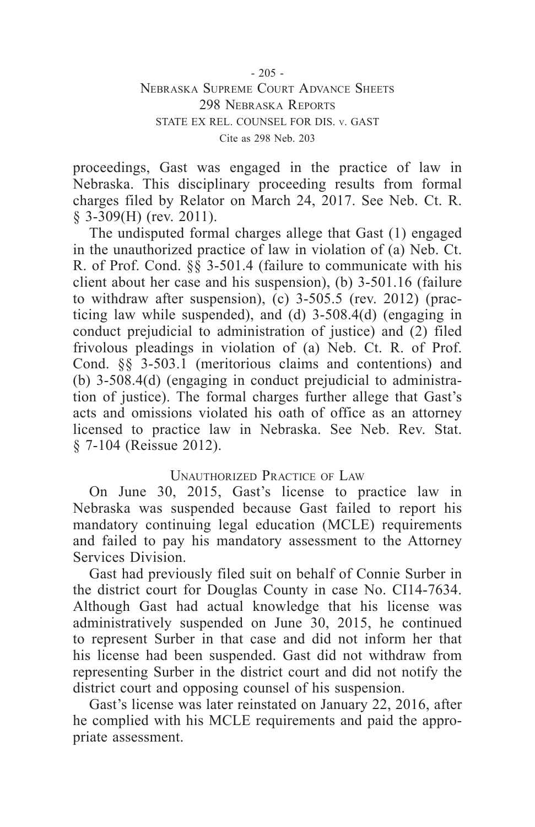## $-205 -$ Nebraska Supreme Court Advance Sheets 298 Nebraska Reports STATE EX REL. COUNSEL FOR DIS. v. GAST Cite as 298 Neb. 203

proceedings, Gast was engaged in the practice of law in Nebraska. This disciplinary proceeding results from formal charges filed by Relator on March 24, 2017. See Neb. Ct. R. § 3-309(H) (rev. 2011).

The undisputed formal charges allege that Gast (1) engaged in the unauthorized practice of law in violation of (a) Neb. Ct. R. of Prof. Cond. §§ 3-501.4 (failure to communicate with his client about her case and his suspension), (b) 3-501.16 (failure to withdraw after suspension),  $(c)$  3-505.5 (rev. 2012) (practicing law while suspended), and (d) 3-508.4(d) (engaging in conduct prejudicial to administration of justice) and (2) filed frivolous pleadings in violation of (a) Neb. Ct. R. of Prof. Cond. §§ 3-503.1 (meritorious claims and contentions) and (b) 3-508.4(d) (engaging in conduct prejudicial to administration of justice). The formal charges further allege that Gast's acts and omissions violated his oath of office as an attorney licensed to practice law in Nebraska. See Neb. Rev. Stat. § 7-104 (Reissue 2012).

## Unauthorized Practice of Law

On June 30, 2015, Gast's license to practice law in Nebraska was suspended because Gast failed to report his mandatory continuing legal education (MCLE) requirements and failed to pay his mandatory assessment to the Attorney Services Division.

Gast had previously filed suit on behalf of Connie Surber in the district court for Douglas County in case No. CI14-7634. Although Gast had actual knowledge that his license was administratively suspended on June 30, 2015, he continued to represent Surber in that case and did not inform her that his license had been suspended. Gast did not withdraw from representing Surber in the district court and did not notify the district court and opposing counsel of his suspension.

Gast's license was later reinstated on January 22, 2016, after he complied with his MCLE requirements and paid the appropriate assessment.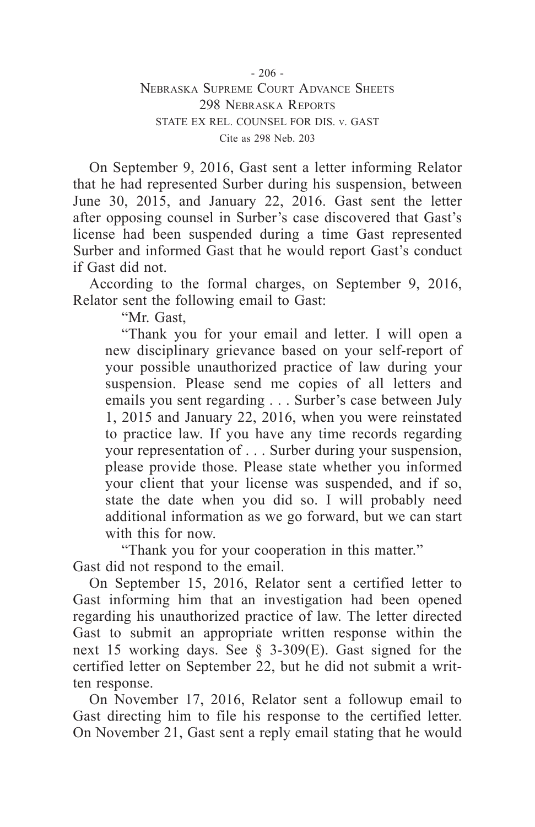- 206 - Nebraska Supreme Court Advance Sheets 298 Nebraska Reports STATE EX REL. COUNSEL FOR DIS. v. GAST Cite as 298 Neb. 203

On September 9, 2016, Gast sent a letter informing Relator that he had represented Surber during his suspension, between June 30, 2015, and January 22, 2016. Gast sent the letter after opposing counsel in Surber's case discovered that Gast's license had been suspended during a time Gast represented Surber and informed Gast that he would report Gast's conduct if Gast did not.

According to the formal charges, on September 9, 2016, Relator sent the following email to Gast:

"Mr. Gast,

"Thank you for your email and letter. I will open a new disciplinary grievance based on your self-report of your possible unauthorized practice of law during your suspension. Please send me copies of all letters and emails you sent regarding . . . Surber's case between July 1, 2015 and January 22, 2016, when you were reinstated to practice law. If you have any time records regarding your representation of . . . Surber during your suspension, please provide those. Please state whether you informed your client that your license was suspended, and if so, state the date when you did so. I will probably need additional information as we go forward, but we can start with this for now.

"Thank you for your cooperation in this matter." Gast did not respond to the email.

On September 15, 2016, Relator sent a certified letter to Gast informing him that an investigation had been opened regarding his unauthorized practice of law. The letter directed Gast to submit an appropriate written response within the next 15 working days. See § 3-309(E). Gast signed for the certified letter on September 22, but he did not submit a written response.

On November 17, 2016, Relator sent a followup email to Gast directing him to file his response to the certified letter. On November 21, Gast sent a reply email stating that he would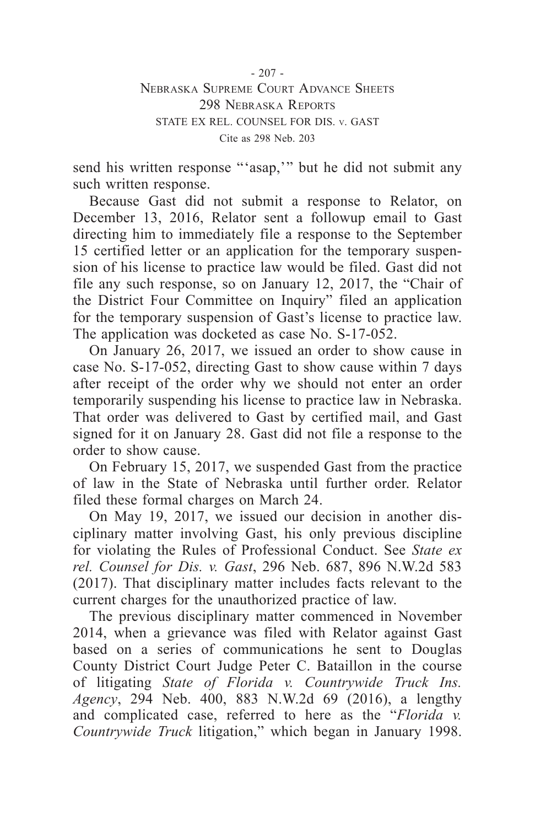- 207 - Nebraska Supreme Court Advance Sheets 298 Nebraska Reports STATE EX REL. COUNSEL FOR DIS. v. GAST Cite as 298 Neb. 203

send his written response "'asap,'" but he did not submit any such written response.

Because Gast did not submit a response to Relator, on December 13, 2016, Relator sent a followup email to Gast directing him to immediately file a response to the September 15 certified letter or an application for the temporary suspension of his license to practice law would be filed. Gast did not file any such response, so on January 12, 2017, the "Chair of the District Four Committee on Inquiry" filed an application for the temporary suspension of Gast's license to practice law. The application was docketed as case No. S-17-052.

On January 26, 2017, we issued an order to show cause in case No. S-17-052, directing Gast to show cause within 7 days after receipt of the order why we should not enter an order temporarily suspending his license to practice law in Nebraska. That order was delivered to Gast by certified mail, and Gast signed for it on January 28. Gast did not file a response to the order to show cause.

On February 15, 2017, we suspended Gast from the practice of law in the State of Nebraska until further order. Relator filed these formal charges on March 24.

On May 19, 2017, we issued our decision in another disciplinary matter involving Gast, his only previous discipline for violating the Rules of Professional Conduct. See *State ex rel. Counsel for Dis. v. Gast*, 296 Neb. 687, 896 N.W.2d 583 (2017). That disciplinary matter includes facts relevant to the current charges for the unauthorized practice of law.

The previous disciplinary matter commenced in November 2014, when a grievance was filed with Relator against Gast based on a series of communications he sent to Douglas County District Court Judge Peter C. Bataillon in the course of litigating *State of Florida v. Countrywide Truck Ins. Agency*, 294 Neb. 400, 883 N.W.2d 69 (2016), a lengthy and complicated case, referred to here as the "*Florida v. Countrywide Truck* litigation," which began in January 1998.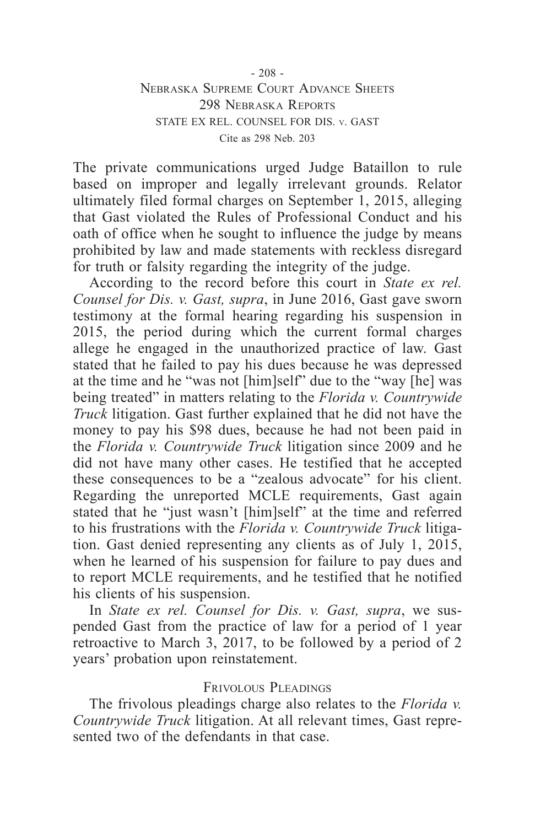The private communications urged Judge Bataillon to rule based on improper and legally irrelevant grounds. Relator ultimately filed formal charges on September 1, 2015, alleging that Gast violated the Rules of Professional Conduct and his oath of office when he sought to influence the judge by means prohibited by law and made statements with reckless disregard for truth or falsity regarding the integrity of the judge.

According to the record before this court in *State ex rel. Counsel for Dis. v. Gast, supra*, in June 2016, Gast gave sworn testimony at the formal hearing regarding his suspension in 2015, the period during which the current formal charges allege he engaged in the unauthorized practice of law. Gast stated that he failed to pay his dues because he was depressed at the time and he "was not [him]self" due to the "way [he] was being treated" in matters relating to the *Florida v. Countrywide Truck* litigation. Gast further explained that he did not have the money to pay his \$98 dues, because he had not been paid in the *Florida v. Countrywide Truck* litigation since 2009 and he did not have many other cases. He testified that he accepted these consequences to be a "zealous advocate" for his client. Regarding the unreported MCLE requirements, Gast again stated that he "just wasn't [him]self" at the time and referred to his frustrations with the *Florida v. Countrywide Truck* litigation. Gast denied representing any clients as of July 1, 2015, when he learned of his suspension for failure to pay dues and to report MCLE requirements, and he testified that he notified his clients of his suspension.

In *State ex rel. Counsel for Dis. v. Gast, supra*, we suspended Gast from the practice of law for a period of 1 year retroactive to March 3, 2017, to be followed by a period of 2 years' probation upon reinstatement.

## Frivolous Pleadings

The frivolous pleadings charge also relates to the *Florida v. Countrywide Truck* litigation. At all relevant times, Gast represented two of the defendants in that case.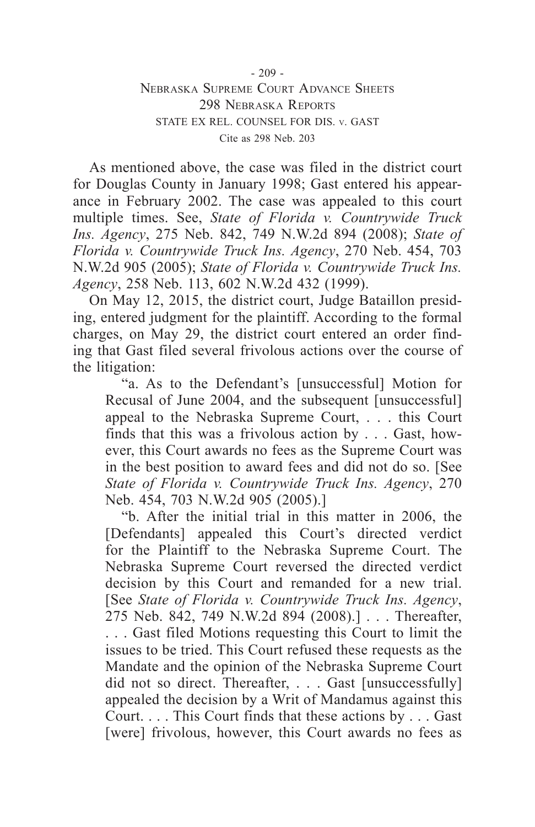As mentioned above, the case was filed in the district court for Douglas County in January 1998; Gast entered his appearance in February 2002. The case was appealed to this court multiple times. See, *State of Florida v. Countrywide Truck Ins. Agency*, 275 Neb. 842, 749 N.W.2d 894 (2008); *State of Florida v. Countrywide Truck Ins. Agency*, 270 Neb. 454, 703 N.W.2d 905 (2005); *State of Florida v. Countrywide Truck Ins. Agency*, 258 Neb. 113, 602 N.W.2d 432 (1999).

On May 12, 2015, the district court, Judge Bataillon presiding, entered judgment for the plaintiff. According to the formal charges, on May 29, the district court entered an order finding that Gast filed several frivolous actions over the course of the litigation:

"a. As to the Defendant's [unsuccessful] Motion for Recusal of June 2004, and the subsequent [unsuccessful] appeal to the Nebraska Supreme Court, . . . this Court finds that this was a frivolous action by . . . Gast, however, this Court awards no fees as the Supreme Court was in the best position to award fees and did not do so. [See *State of Florida v. Countrywide Truck Ins. Agency*, 270 Neb. 454, 703 N.W.2d 905 (2005).]

"b. After the initial trial in this matter in 2006, the [Defendants] appealed this Court's directed verdict for the Plaintiff to the Nebraska Supreme Court. The Nebraska Supreme Court reversed the directed verdict decision by this Court and remanded for a new trial. [See *State of Florida v. Countrywide Truck Ins. Agency*, 275 Neb. 842, 749 N.W.2d 894 (2008).] . . . Thereafter, . . . Gast filed Motions requesting this Court to limit the issues to be tried. This Court refused these requests as the Mandate and the opinion of the Nebraska Supreme Court did not so direct. Thereafter, . . . Gast [unsuccessfully] appealed the decision by a Writ of Mandamus against this Court. . . . This Court finds that these actions by . . . Gast [were] frivolous, however, this Court awards no fees as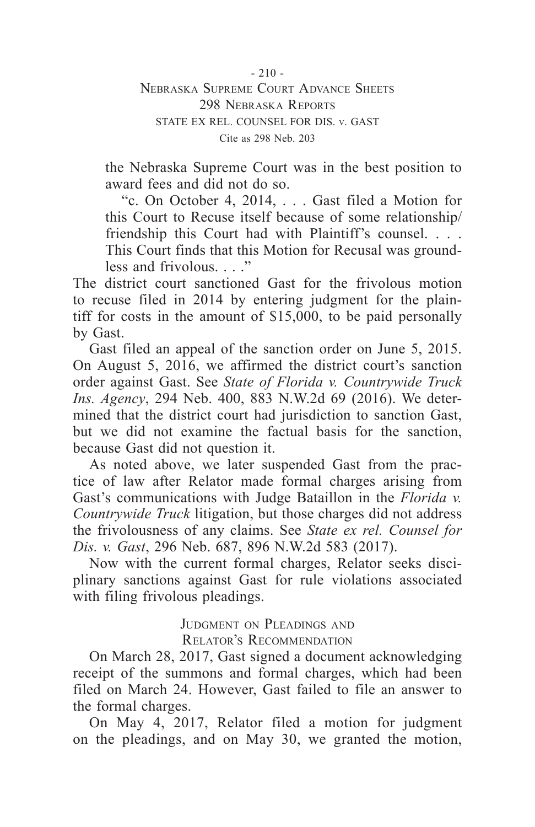$-210 -$ Nebraska Supreme Court Advance Sheets 298 Nebraska Reports STATE EX REL. COUNSEL FOR DIS. v. GAST Cite as 298 Neb. 203

the Nebraska Supreme Court was in the best position to award fees and did not do so.

"c. On October 4, 2014, . . . Gast filed a Motion for this Court to Recuse itself because of some relationship/ friendship this Court had with Plaintiff's counsel. . . . This Court finds that this Motion for Recusal was groundless and frivolous.  $\cdot$  "

The district court sanctioned Gast for the frivolous motion to recuse filed in 2014 by entering judgment for the plaintiff for costs in the amount of \$15,000, to be paid personally by Gast.

Gast filed an appeal of the sanction order on June 5, 2015. On August 5, 2016, we affirmed the district court's sanction order against Gast. See *State of Florida v. Countrywide Truck Ins. Agency*, 294 Neb. 400, 883 N.W.2d 69 (2016). We determined that the district court had jurisdiction to sanction Gast, but we did not examine the factual basis for the sanction, because Gast did not question it.

As noted above, we later suspended Gast from the practice of law after Relator made formal charges arising from Gast's communications with Judge Bataillon in the *Florida v. Countrywide Truck* litigation, but those charges did not address the frivolousness of any claims. See *State ex rel. Counsel for Dis. v. Gast*, 296 Neb. 687, 896 N.W.2d 583 (2017).

Now with the current formal charges, Relator seeks disciplinary sanctions against Gast for rule violations associated with filing frivolous pleadings.

> JUDGMENT ON PLEADINGS AND Relator's Recommendation

On March 28, 2017, Gast signed a document acknowledging receipt of the summons and formal charges, which had been filed on March 24. However, Gast failed to file an answer to the formal charges.

On May 4, 2017, Relator filed a motion for judgment on the pleadings, and on May 30, we granted the motion,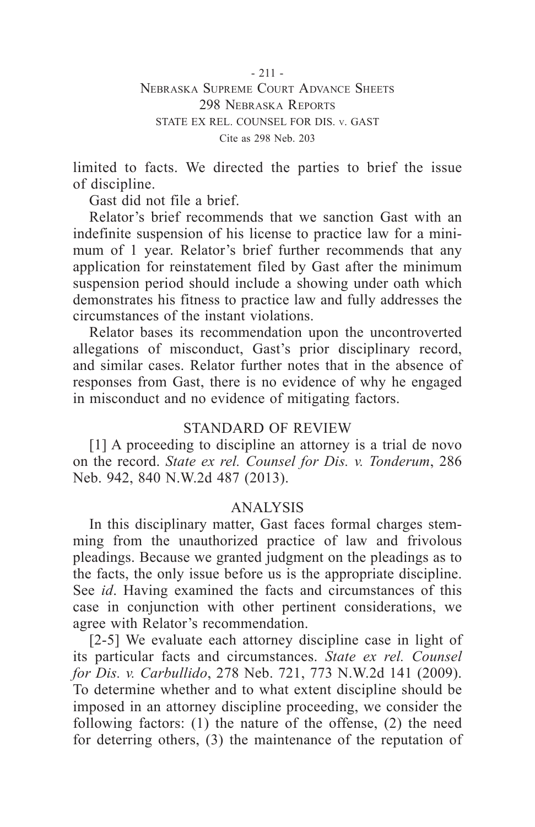- 211 - Nebraska Supreme Court Advance Sheets 298 Nebraska Reports STATE EX REL. COUNSEL FOR DIS. v. GAST Cite as 298 Neb. 203

limited to facts. We directed the parties to brief the issue of discipline.

Gast did not file a brief.

Relator's brief recommends that we sanction Gast with an indefinite suspension of his license to practice law for a minimum of 1 year. Relator's brief further recommends that any application for reinstatement filed by Gast after the minimum suspension period should include a showing under oath which demonstrates his fitness to practice law and fully addresses the circumstances of the instant violations.

Relator bases its recommendation upon the uncontroverted allegations of misconduct, Gast's prior disciplinary record, and similar cases. Relator further notes that in the absence of responses from Gast, there is no evidence of why he engaged in misconduct and no evidence of mitigating factors.

## STANDARD OF REVIEW

[1] A proceeding to discipline an attorney is a trial de novo on the record. *State ex rel. Counsel for Dis. v. Tonderum*, 286 Neb. 942, 840 N.W.2d 487 (2013).

#### ANALYSIS

In this disciplinary matter, Gast faces formal charges stemming from the unauthorized practice of law and frivolous pleadings. Because we granted judgment on the pleadings as to the facts, the only issue before us is the appropriate discipline. See *id*. Having examined the facts and circumstances of this case in conjunction with other pertinent considerations, we agree with Relator's recommendation.

[2-5] We evaluate each attorney discipline case in light of its particular facts and circumstances. *State ex rel. Counsel for Dis. v. Carbullido*, 278 Neb. 721, 773 N.W.2d 141 (2009). To determine whether and to what extent discipline should be imposed in an attorney discipline proceeding, we consider the following factors: (1) the nature of the offense, (2) the need for deterring others, (3) the maintenance of the reputation of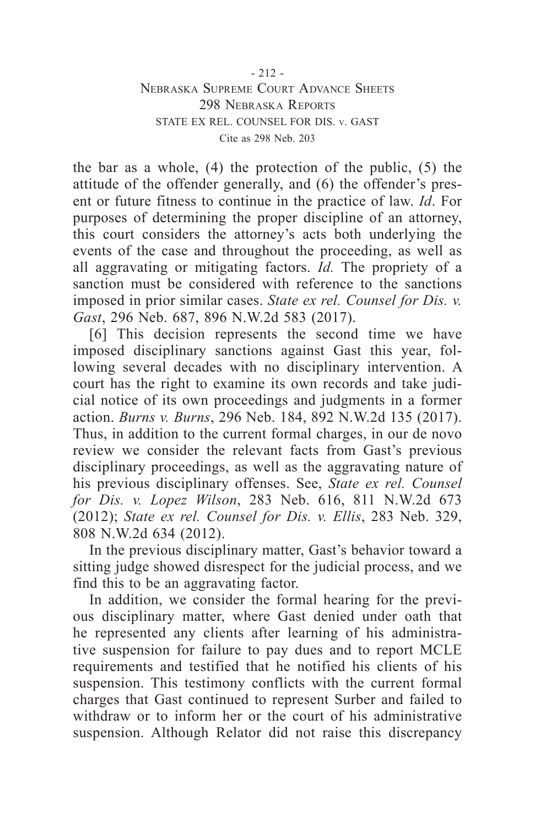the bar as a whole, (4) the protection of the public, (5) the attitude of the offender generally, and (6) the offender's present or future fitness to continue in the practice of law. *Id*. For purposes of determining the proper discipline of an attorney, this court considers the attorney's acts both underlying the events of the case and throughout the proceeding, as well as all aggravating or mitigating factors. *Id.* The propriety of a sanction must be considered with reference to the sanctions imposed in prior similar cases. *State ex rel. Counsel for Dis. v. Gast*, 296 Neb. 687, 896 N.W.2d 583 (2017).

[6] This decision represents the second time we have imposed disciplinary sanctions against Gast this year, following several decades with no disciplinary intervention. A court has the right to examine its own records and take judicial notice of its own proceedings and judgments in a former action. *Burns v. Burns*, 296 Neb. 184, 892 N.W.2d 135 (2017). Thus, in addition to the current formal charges, in our de novo review we consider the relevant facts from Gast's previous disciplinary proceedings, as well as the aggravating nature of his previous disciplinary offenses. See, *State ex rel. Counsel for Dis. v. Lopez Wilson*, 283 Neb. 616, 811 N.W.2d 673 (2012); *State ex rel. Counsel for Dis. v. Ellis*, 283 Neb. 329, 808 N.W.2d 634 (2012).

In the previous disciplinary matter, Gast's behavior toward a sitting judge showed disrespect for the judicial process, and we find this to be an aggravating factor.

In addition, we consider the formal hearing for the previous disciplinary matter, where Gast denied under oath that he represented any clients after learning of his administrative suspension for failure to pay dues and to report MCLE requirements and testified that he notified his clients of his suspension. This testimony conflicts with the current formal charges that Gast continued to represent Surber and failed to withdraw or to inform her or the court of his administrative suspension. Although Relator did not raise this discrepancy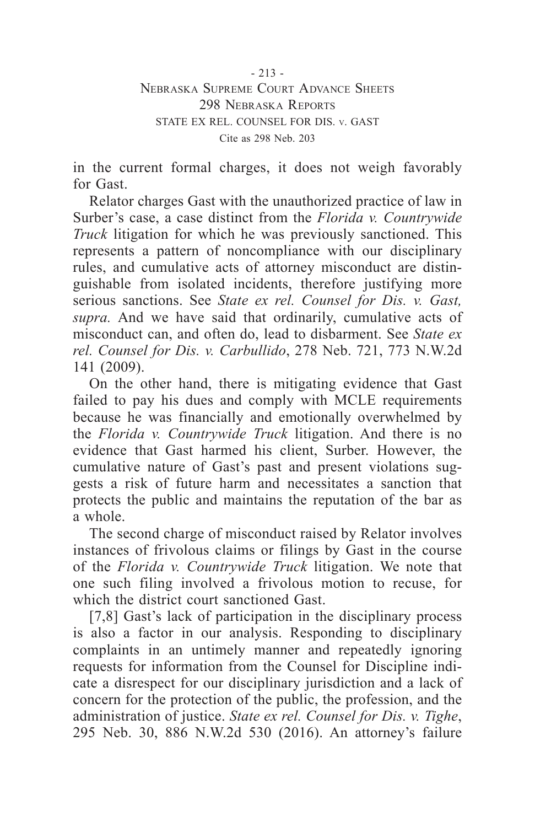in the current formal charges, it does not weigh favorably for Gast.

Relator charges Gast with the unauthorized practice of law in Surber's case, a case distinct from the *Florida v. Countrywide Truck* litigation for which he was previously sanctioned. This represents a pattern of noncompliance with our disciplinary rules, and cumulative acts of attorney misconduct are distinguishable from isolated incidents, therefore justifying more serious sanctions. See *State ex rel. Counsel for Dis. v. Gast, supra.* And we have said that ordinarily, cumulative acts of misconduct can, and often do, lead to disbarment. See *State ex rel. Counsel for Dis. v. Carbullido*, 278 Neb. 721, 773 N.W.2d 141 (2009).

On the other hand, there is mitigating evidence that Gast failed to pay his dues and comply with MCLE requirements because he was financially and emotionally overwhelmed by the *Florida v. Countrywide Truck* litigation. And there is no evidence that Gast harmed his client, Surber. However, the cumulative nature of Gast's past and present violations suggests a risk of future harm and necessitates a sanction that protects the public and maintains the reputation of the bar as a whole.

The second charge of misconduct raised by Relator involves instances of frivolous claims or filings by Gast in the course of the *Florida v. Countrywide Truck* litigation. We note that one such filing involved a frivolous motion to recuse, for which the district court sanctioned Gast.

[7,8] Gast's lack of participation in the disciplinary process is also a factor in our analysis. Responding to disciplinary complaints in an untimely manner and repeatedly ignoring requests for information from the Counsel for Discipline indicate a disrespect for our disciplinary jurisdiction and a lack of concern for the protection of the public, the profession, and the administration of justice. *State ex rel. Counsel for Dis. v. Tighe*, 295 Neb. 30, 886 N.W.2d 530 (2016). An attorney's failure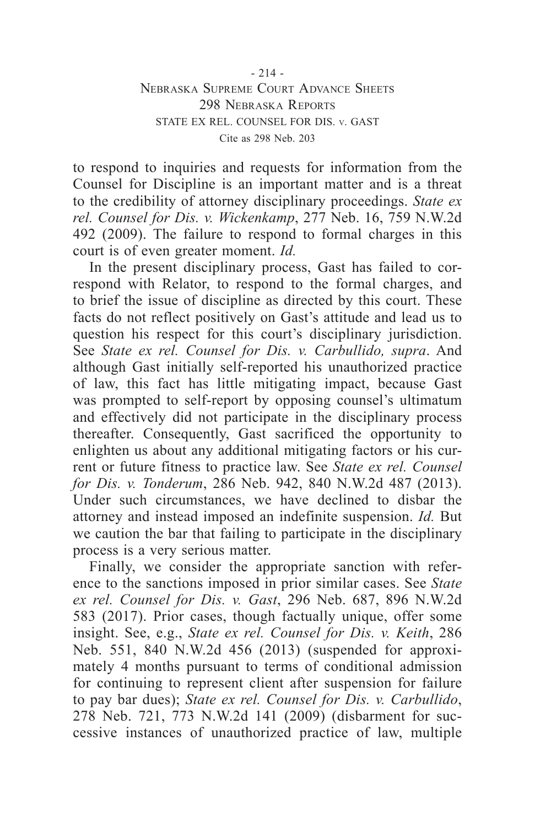to respond to inquiries and requests for information from the Counsel for Discipline is an important matter and is a threat to the credibility of attorney disciplinary proceedings. *State ex rel. Counsel for Dis. v. Wickenkamp*, 277 Neb. 16, 759 N.W.2d 492 (2009). The failure to respond to formal charges in this court is of even greater moment. *Id.*

In the present disciplinary process, Gast has failed to correspond with Relator, to respond to the formal charges, and to brief the issue of discipline as directed by this court. These facts do not reflect positively on Gast's attitude and lead us to question his respect for this court's disciplinary jurisdiction. See *State ex rel. Counsel for Dis. v. Carbullido, supra*. And although Gast initially self-reported his unauthorized practice of law, this fact has little mitigating impact, because Gast was prompted to self-report by opposing counsel's ultimatum and effectively did not participate in the disciplinary process thereafter. Consequently, Gast sacrificed the opportunity to enlighten us about any additional mitigating factors or his current or future fitness to practice law. See *State ex rel. Counsel for Dis. v. Tonderum*, 286 Neb. 942, 840 N.W.2d 487 (2013). Under such circumstances, we have declined to disbar the attorney and instead imposed an indefinite suspension. *Id.* But we caution the bar that failing to participate in the disciplinary process is a very serious matter.

Finally, we consider the appropriate sanction with reference to the sanctions imposed in prior similar cases. See *State ex rel. Counsel for Dis. v. Gast*, 296 Neb. 687, 896 N.W.2d 583 (2017). Prior cases, though factually unique, offer some insight. See, e.g., *State ex rel. Counsel for Dis. v. Keith*, 286 Neb. 551, 840 N.W.2d 456 (2013) (suspended for approximately 4 months pursuant to terms of conditional admission for continuing to represent client after suspension for failure to pay bar dues); *State ex rel. Counsel for Dis. v. Carbullido*, 278 Neb. 721, 773 N.W.2d 141 (2009) (disbarment for successive instances of unauthorized practice of law, multiple